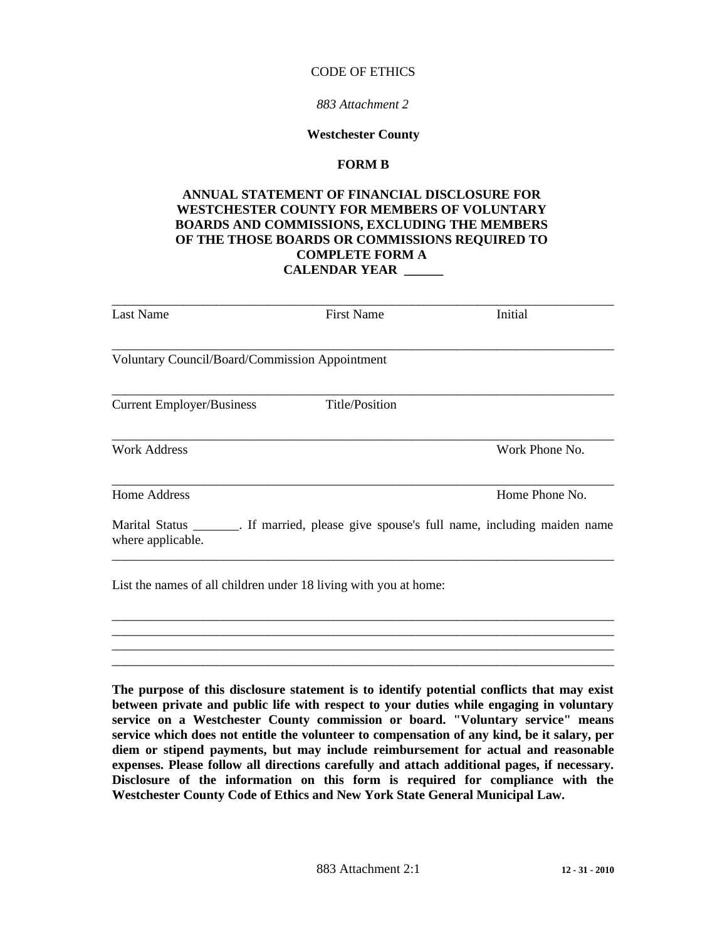#### CODE OF ETHICS

#### *883 Attachment 2*

#### **Westchester County**

## **FORM B**

# **ANNUAL STATEMENT OF FINANCIAL DISCLOSURE FOR WESTCHESTER COUNTY FOR MEMBERS OF VOLUNTARY BOARDS AND COMMISSIONS, EXCLUDING THE MEMBERS OF THE THOSE BOARDS OR COMMISSIONS REQUIRED TO COMPLETE FORM A CALENDAR YEAR \_\_\_\_\_\_**

| Last Name                                                                                                        | <b>First Name</b> | Initial        |
|------------------------------------------------------------------------------------------------------------------|-------------------|----------------|
| <b>Voluntary Council/Board/Commission Appointment</b>                                                            |                   |                |
| <b>Current Employer/Business</b>                                                                                 | Title/Position    |                |
| <b>Work Address</b>                                                                                              |                   | Work Phone No. |
| <b>Home Address</b>                                                                                              |                   | Home Phone No. |
| Marital Status _________. If married, please give spouse's full name, including maiden name<br>where applicable. |                   |                |
| List the names of all children under 18 living with you at home:                                                 |                   |                |

**The purpose of this disclosure statement is to identify potential conflicts that may exist between private and public life with respect to your duties while engaging in voluntary service on a Westchester County commission or board. "Voluntary service" means service which does not entitle the volunteer to compensation of any kind, be it salary, per diem or stipend payments, but may include reimbursement for actual and reasonable expenses. Please follow all directions carefully and attach additional pages, if necessary. Disclosure of the information on this form is required for compliance with the Westchester County Code of Ethics and New York State General Municipal Law.**

\_\_\_\_\_\_\_\_\_\_\_\_\_\_\_\_\_\_\_\_\_\_\_\_\_\_\_\_\_\_\_\_\_\_\_\_\_\_\_\_\_\_\_\_\_\_\_\_\_\_\_\_\_\_\_\_\_\_\_\_\_\_\_\_\_\_\_\_\_\_\_\_\_\_\_\_\_

\_\_\_\_\_\_\_\_\_\_\_\_\_\_\_\_\_\_\_\_\_\_\_\_\_\_\_\_\_\_\_\_\_\_\_\_\_\_\_\_\_\_\_\_\_\_\_\_\_\_\_\_\_\_\_\_\_\_\_\_\_\_\_\_\_\_\_\_\_\_\_\_\_\_\_\_\_ \_\_\_\_\_\_\_\_\_\_\_\_\_\_\_\_\_\_\_\_\_\_\_\_\_\_\_\_\_\_\_\_\_\_\_\_\_\_\_\_\_\_\_\_\_\_\_\_\_\_\_\_\_\_\_\_\_\_\_\_\_\_\_\_\_\_\_\_\_\_\_\_\_\_\_\_\_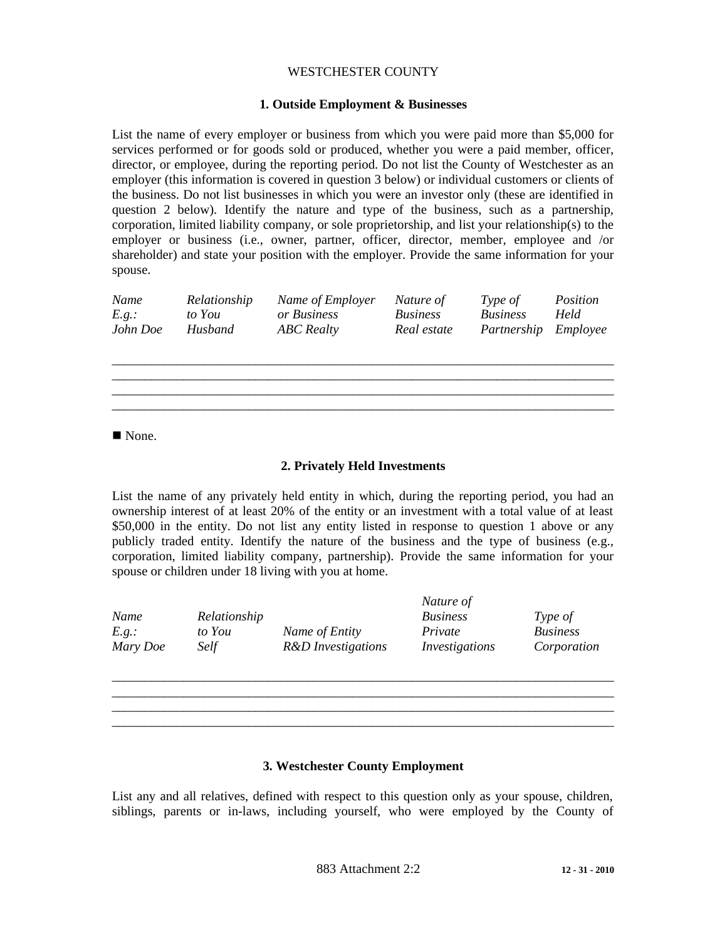# WESTCHESTER COUNTY

# **1. Outside Employment & Businesses**

List the name of every employer or business from which you were paid more than \$5,000 for services performed or for goods sold or produced, whether you were a paid member, officer, director, or employee, during the reporting period. Do not list the County of Westchester as an employer (this information is covered in question 3 below) or individual customers or clients of the business. Do not list businesses in which you were an investor only (these are identified in question 2 below). Identify the nature and type of the business, such as a partnership, corporation, limited liability company, or sole proprietorship, and list your relationship(s) to the employer or business (i.e., owner, partner, officer, director, member, employee and /or shareholder) and state your position with the employer. Provide the same information for your spouse.

| Name     | Relationship | Name of Employer  | Nature of   | Type of              | Position |
|----------|--------------|-------------------|-------------|----------------------|----------|
| E.q.:    | to You       | or Business       | Business    | <b>Business</b>      | Held     |
| John Doe | Husband      | <b>ABC</b> Realty | Real estate | Partnership Employee |          |

\_\_\_\_\_\_\_\_\_\_\_\_\_\_\_\_\_\_\_\_\_\_\_\_\_\_\_\_\_\_\_\_\_\_\_\_\_\_\_\_\_\_\_\_\_\_\_\_\_\_\_\_\_\_\_\_\_\_\_\_\_\_\_\_\_\_\_\_\_\_\_\_\_\_\_\_\_

\_\_\_\_\_\_\_\_\_\_\_\_\_\_\_\_\_\_\_\_\_\_\_\_\_\_\_\_\_\_\_\_\_\_\_\_\_\_\_\_\_\_\_\_\_\_\_\_\_\_\_\_\_\_\_\_\_\_\_\_\_\_\_\_\_\_\_\_\_\_\_\_\_\_\_\_\_

■ None.

# **2. Privately Held Investments**

List the name of any privately held entity in which, during the reporting period, you had an ownership interest of at least 20% of the entity or an investment with a total value of at least \$50,000 in the entity. Do not list any entity listed in response to question 1 above or any publicly traded entity. Identify the nature of the business and the type of business (e.g., corporation, limited liability company, partnership). Provide the same information for your spouse or children under 18 living with you at home.

|          |              |                    | Nature of             |                 |
|----------|--------------|--------------------|-----------------------|-----------------|
| Name     | Relationship |                    | <b>Business</b>       | Type of         |
| E.q.:    | to You       | Name of Entity     | Private               | <b>Business</b> |
| Mary Doe | Self         | R&D Investigations | <i>Investigations</i> | Corporation     |

\_\_\_\_\_\_\_\_\_\_\_\_\_\_\_\_\_\_\_\_\_\_\_\_\_\_\_\_\_\_\_\_\_\_\_\_\_\_\_\_\_\_\_\_\_\_\_\_\_\_\_\_\_\_\_\_\_\_\_\_\_\_\_\_\_\_\_\_\_\_\_\_\_\_\_\_\_

\_\_\_\_\_\_\_\_\_\_\_\_\_\_\_\_\_\_\_\_\_\_\_\_\_\_\_\_\_\_\_\_\_\_\_\_\_\_\_\_\_\_\_\_\_\_\_\_\_\_\_\_\_\_\_\_\_\_\_\_\_\_\_\_\_\_\_\_\_\_\_\_\_\_\_\_\_

 $\mathcal{L}_\text{max} = \mathcal{L}_\text{max} = \mathcal{L}_\text{max} = \mathcal{L}_\text{max} = \mathcal{L}_\text{max} = \mathcal{L}_\text{max} = \mathcal{L}_\text{max} = \mathcal{L}_\text{max} = \mathcal{L}_\text{max} = \mathcal{L}_\text{max} = \mathcal{L}_\text{max} = \mathcal{L}_\text{max} = \mathcal{L}_\text{max} = \mathcal{L}_\text{max} = \mathcal{L}_\text{max} = \mathcal{L}_\text{max} = \mathcal{L}_\text{max} = \mathcal{L}_\text{max} = \mathcal{$ 

# **3. Westchester County Employment**

List any and all relatives, defined with respect to this question only as your spouse, children, siblings, parents or in-laws, including yourself, who were employed by the County of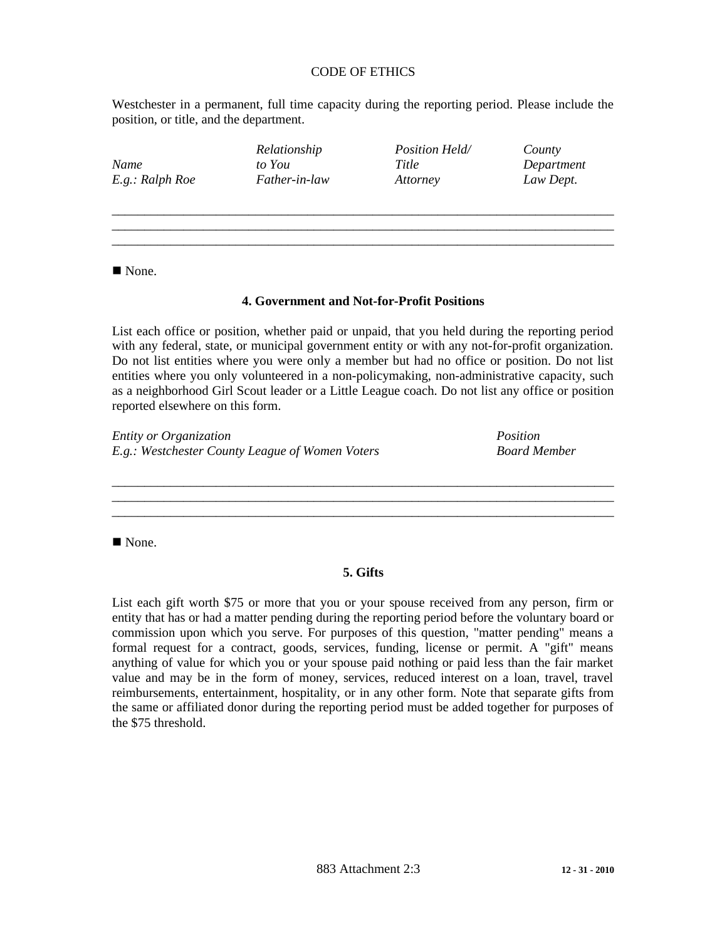# CODE OF ETHICS

Westchester in a permanent, full time capacity during the reporting period. Please include the position, or title, and the department.

| Name<br>E.g.: Ralph Roe | Relationship<br>to You<br>Father-in-law | Position Held/<br>Title<br>Attorney | County<br>Department<br>Law Dept. |
|-------------------------|-----------------------------------------|-------------------------------------|-----------------------------------|
|                         |                                         |                                     |                                   |

None.

#### **4. Government and Not-for-Profit Positions**

\_\_\_\_\_\_\_\_\_\_\_\_\_\_\_\_\_\_\_\_\_\_\_\_\_\_\_\_\_\_\_\_\_\_\_\_\_\_\_\_\_\_\_\_\_\_\_\_\_\_\_\_\_\_\_\_\_\_\_\_\_\_\_\_\_\_\_\_\_\_\_\_\_\_\_\_\_

List each office or position, whether paid or unpaid, that you held during the reporting period with any federal, state, or municipal government entity or with any not-for-profit organization. Do not list entities where you were only a member but had no office or position. Do not list entities where you only volunteered in a non-policymaking, non-administrative capacity, such as a neighborhood Girl Scout leader or a Little League coach. Do not list any office or position reported elsewhere on this form.

*Entity or Organization Position E.g.: Westchester County League of Women Voters Board Member*

None.

# **5. Gifts**

\_\_\_\_\_\_\_\_\_\_\_\_\_\_\_\_\_\_\_\_\_\_\_\_\_\_\_\_\_\_\_\_\_\_\_\_\_\_\_\_\_\_\_\_\_\_\_\_\_\_\_\_\_\_\_\_\_\_\_\_\_\_\_\_\_\_\_\_\_\_\_\_\_\_\_\_\_ \_\_\_\_\_\_\_\_\_\_\_\_\_\_\_\_\_\_\_\_\_\_\_\_\_\_\_\_\_\_\_\_\_\_\_\_\_\_\_\_\_\_\_\_\_\_\_\_\_\_\_\_\_\_\_\_\_\_\_\_\_\_\_\_\_\_\_\_\_\_\_\_\_\_\_\_\_ \_\_\_\_\_\_\_\_\_\_\_\_\_\_\_\_\_\_\_\_\_\_\_\_\_\_\_\_\_\_\_\_\_\_\_\_\_\_\_\_\_\_\_\_\_\_\_\_\_\_\_\_\_\_\_\_\_\_\_\_\_\_\_\_\_\_\_\_\_\_\_\_\_\_\_\_\_

List each gift worth \$75 or more that you or your spouse received from any person, firm or entity that has or had a matter pending during the reporting period before the voluntary board or commission upon which you serve. For purposes of this question, "matter pending" means a formal request for a contract, goods, services, funding, license or permit. A "gift" means anything of value for which you or your spouse paid nothing or paid less than the fair market value and may be in the form of money, services, reduced interest on a loan, travel, travel reimbursements, entertainment, hospitality, or in any other form. Note that separate gifts from the same or affiliated donor during the reporting period must be added together for purposes of the \$75 threshold.